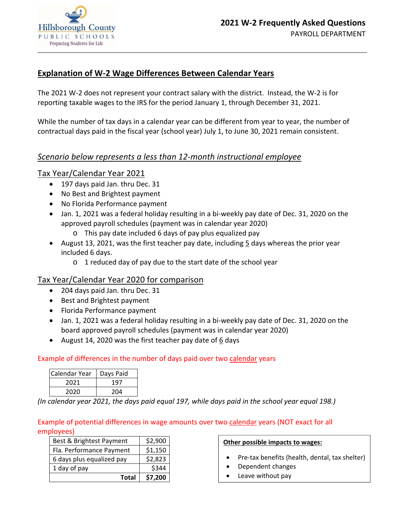

# **Explanation of W‐2 Wage Differences Between Calendar Years**

The 2021 W‐2 does not represent your contract salary with the district. Instead, the W‐2 is for reporting taxable wages to the IRS for the period January 1, through December 31, 2021.

While the number of tax days in a calendar year can be different from year to year, the number of contractual days paid in the fiscal year (school year) July 1, to June 30, 2021 remain consistent.

## *Scenario below represents a less than 12‐month instructional employee*

## Tax Year/Calendar Year 2021

- 197 days paid Jan. thru Dec. 31
- No Best and Brightest payment
- No Florida Performance payment
- Jan. 1, 2021 was a federal holiday resulting in a bi‐weekly pay date of Dec. 31, 2020 on the approved payroll schedules (payment was in calendar year 2020)
	- o This pay date included 6 days of pay plus equalized pay
- August 13, 2021, was the first teacher pay date, including 5 days whereas the prior year included 6 days.
	- o 1 reduced day of pay due to the start date of the school year

## Tax Year/Calendar Year 2020 for comparison

- 204 days paid Jan. thru Dec. 31
- Best and Brightest payment
- Florida Performance payment
- Jan. 1, 2021 was a federal holiday resulting in a bi‐weekly pay date of Dec. 31, 2020 on the board approved payroll schedules (payment was in calendar year 2020)
- August 14, 2020 was the first teacher pay date of  $6$  days

#### Example of differences in the number of days paid over two calendar years

| Calendar Year | Days Paid |  |  |
|---------------|-----------|--|--|
| 2021          | 197       |  |  |
| 2020          | 204       |  |  |

*(In calendar year 2021, the days paid equal 197, while days paid in the school year equal 198.)* 

## Example of potential differences in wage amounts over two calendar years (NOT exact for all employees)

| 6 days plus equalized pay<br>1 day of pay | \$2,823<br>\$344 |
|-------------------------------------------|------------------|
|                                           |                  |
|                                           |                  |
| Fla. Performance Payment                  | \$1,150          |
| Best & Brightest Payment                  | \$2,900          |

**Other possible impacts to wages:** 

- Pre‐tax benefits (health, dental, tax shelter)
- Dependent changes
- Leave without pay